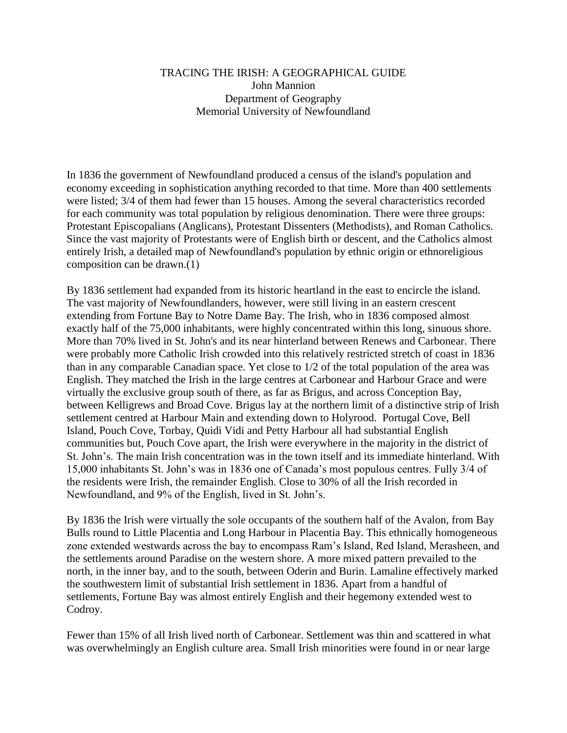## TRACING THE IRISH: A GEOGRAPHICAL GUIDE John Mannion Department of Geography Memorial University of Newfoundland

In 1836 the government of Newfoundland produced a census of the island's population and economy exceeding in sophistication anything recorded to that time. More than 400 settlements were listed; 3/4 of them had fewer than 15 houses. Among the several characteristics recorded for each community was total population by religious denomination. There were three groups: Protestant Episcopalians (Anglicans), Protestant Dissenters (Methodists), and Roman Catholics. Since the vast majority of Protestants were of English birth or descent, and the Catholics almost entirely Irish, a detailed map of Newfoundland's population by ethnic origin or ethnoreligious composition can be drawn.(1)

By 1836 settlement had expanded from its historic heartland in the east to encircle the island. The vast majority of Newfoundlanders, however, were still living in an eastern crescent extending from Fortune Bay to Notre Dame Bay. The Irish, who in 1836 composed almost exactly half of the 75,000 inhabitants, were highly concentrated within this long, sinuous shore. More than 70% lived in St. John's and its near hinterland between Renews and Carbonear. There were probably more Catholic Irish crowded into this relatively restricted stretch of coast in 1836 than in any comparable Canadian space. Yet close to 1/2 of the total population of the area was English. They matched the Irish in the large centres at Carbonear and Harbour Grace and were virtually the exclusive group south of there, as far as Brigus, and across Conception Bay, between Kelligrews and Broad Cove. Brigus lay at the northern limit of a distinctive strip of Irish settlement centred at Harbour Main and extending down to Holyrood. Portugal Cove, Bell Island, Pouch Cove, Torbay, Quidi Vidi and Petty Harbour all had substantial English communities but, Pouch Cove apart, the Irish were everywhere in the majority in the district of St. John's. The main Irish concentration was in the town itself and its immediate hinterland. With 15,000 inhabitants St. John's was in 1836 one of Canada's most populous centres. Fully 3/4 of the residents were Irish, the remainder English. Close to 30% of all the Irish recorded in Newfoundland, and 9% of the English, lived in St. John's.

By 1836 the Irish were virtually the sole occupants of the southern half of the Avalon, from Bay Bulls round to Little Placentia and Long Harbour in Placentia Bay. This ethnically homogeneous zone extended westwards across the bay to encompass Ram's Island, Red Island, Merasheen, and the settlements around Paradise on the western shore. A more mixed pattern prevailed to the north, in the inner bay, and to the south, between Oderin and Burin. Lamaline effectively marked the southwestern limit of substantial Irish settlement in 1836. Apart from a handful of settlements, Fortune Bay was almost entirely English and their hegemony extended west to Codroy.

Fewer than 15% of all Irish lived north of Carbonear. Settlement was thin and scattered in what was overwhelmingly an English culture area. Small Irish minorities were found in or near large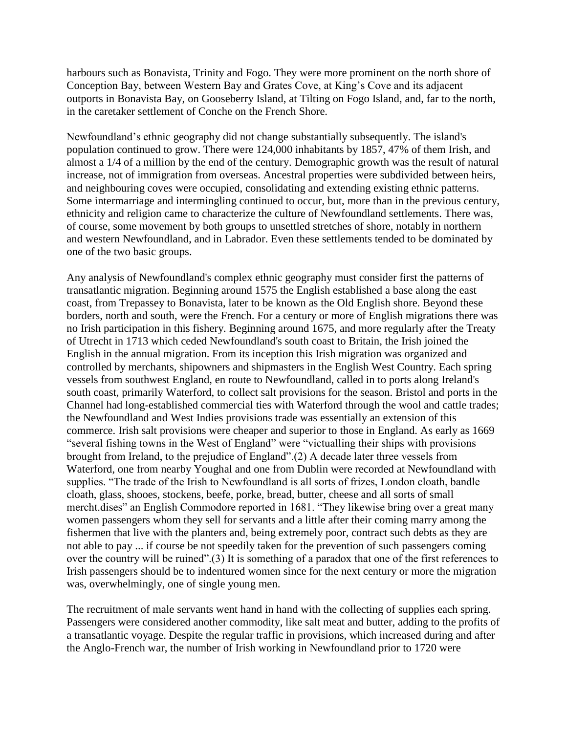harbours such as Bonavista, Trinity and Fogo. They were more prominent on the north shore of Conception Bay, between Western Bay and Grates Cove, at King's Cove and its adjacent outports in Bonavista Bay, on Gooseberry Island, at Tilting on Fogo Island, and, far to the north, in the caretaker settlement of Conche on the French Shore.

Newfoundland's ethnic geography did not change substantially subsequently. The island's population continued to grow. There were 124,000 inhabitants by 1857, 47% of them Irish, and almost a 1/4 of a million by the end of the century. Demographic growth was the result of natural increase, not of immigration from overseas. Ancestral properties were subdivided between heirs, and neighbouring coves were occupied, consolidating and extending existing ethnic patterns. Some intermarriage and intermingling continued to occur, but, more than in the previous century, ethnicity and religion came to characterize the culture of Newfoundland settlements. There was, of course, some movement by both groups to unsettled stretches of shore, notably in northern and western Newfoundland, and in Labrador. Even these settlements tended to be dominated by one of the two basic groups.

Any analysis of Newfoundland's complex ethnic geography must consider first the patterns of transatlantic migration. Beginning around 1575 the English established a base along the east coast, from Trepassey to Bonavista, later to be known as the Old English shore. Beyond these borders, north and south, were the French. For a century or more of English migrations there was no Irish participation in this fishery. Beginning around 1675, and more regularly after the Treaty of Utrecht in 1713 which ceded Newfoundland's south coast to Britain, the Irish joined the English in the annual migration. From its inception this Irish migration was organized and controlled by merchants, shipowners and shipmasters in the English West Country. Each spring vessels from southwest England, en route to Newfoundland, called in to ports along Ireland's south coast, primarily Waterford, to collect salt provisions for the season. Bristol and ports in the Channel had long-established commercial ties with Waterford through the wool and cattle trades; the Newfoundland and West Indies provisions trade was essentially an extension of this commerce. Irish salt provisions were cheaper and superior to those in England. As early as 1669 "several fishing towns in the West of England" were "victualling their ships with provisions brought from Ireland, to the prejudice of England".(2) A decade later three vessels from Waterford, one from nearby Youghal and one from Dublin were recorded at Newfoundland with supplies. "The trade of the Irish to Newfoundland is all sorts of frizes, London cloath, bandle cloath, glass, shooes, stockens, beefe, porke, bread, butter, cheese and all sorts of small mercht.dises" an English Commodore reported in 1681. "They likewise bring over a great many women passengers whom they sell for servants and a little after their coming marry among the fishermen that live with the planters and, being extremely poor, contract such debts as they are not able to pay ... if course be not speedily taken for the prevention of such passengers coming over the country will be ruined".(3) It is something of a paradox that one of the first references to Irish passengers should be to indentured women since for the next century or more the migration was, overwhelmingly, one of single young men.

The recruitment of male servants went hand in hand with the collecting of supplies each spring. Passengers were considered another commodity, like salt meat and butter, adding to the profits of a transatlantic voyage. Despite the regular traffic in provisions, which increased during and after the Anglo-French war, the number of Irish working in Newfoundland prior to 1720 were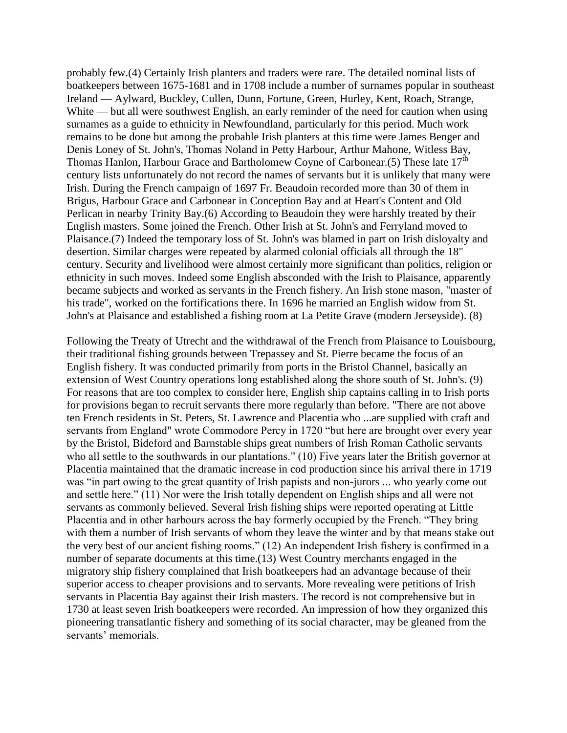probably few.(4) Certainly Irish planters and traders were rare. The detailed nominal lists of boatkeepers between 1675-1681 and in 1708 include a number of surnames popular in southeast Ireland — Aylward, Buckley, Cullen, Dunn, Fortune, Green, Hurley, Kent, Roach, Strange, White — but all were southwest English, an early reminder of the need for caution when using surnames as a guide to ethnicity in Newfoundland, particularly for this period. Much work remains to be done but among the probable Irish planters at this time were James Benger and Denis Loney of St. John's, Thomas Noland in Petty Harbour, Arthur Mahone, Witless Bay, Thomas Hanlon, Harbour Grace and Bartholomew Coyne of Carbonear.(5) These late 17<sup>th</sup> century lists unfortunately do not record the names of servants but it is unlikely that many were Irish. During the French campaign of 1697 Fr. Beaudoin recorded more than 30 of them in Brigus, Harbour Grace and Carbonear in Conception Bay and at Heart's Content and Old Perlican in nearby Trinity Bay.(6) According to Beaudoin they were harshly treated by their English masters. Some joined the French. Other Irish at St. John's and Ferryland moved to Plaisance.(7) Indeed the temporary loss of St. John's was blamed in part on Irish disloyalty and desertion. Similar charges were repeated by alarmed colonial officials all through the 18" century. Security and livelihood were almost certainly more significant than politics, religion or ethnicity in such moves. Indeed some English absconded with the Irish to Plaisance, apparently became subjects and worked as servants in the French fishery. An Irish stone mason, "master of his trade", worked on the fortifications there. In 1696 he married an English widow from St. John's at Plaisance and established a fishing room at La Petite Grave (modern Jerseyside). (8)

Following the Treaty of Utrecht and the withdrawal of the French from Plaisance to Louisbourg, their traditional fishing grounds between Trepassey and St. Pierre became the focus of an English fishery. It was conducted primarily from ports in the Bristol Channel, basically an extension of West Country operations long established along the shore south of St. John's. (9) For reasons that are too complex to consider here, English ship captains calling in to Irish ports for provisions began to recruit servants there more regularly than before. "There are not above ten French residents in St. Peters, St. Lawrence and Placentia who ...are supplied with craft and servants from England" wrote Commodore Percy in 1720 "but here are brought over every year by the Bristol, Bideford and Barnstable ships great numbers of Irish Roman Catholic servants who all settle to the southwards in our plantations." (10) Five years later the British governor at Placentia maintained that the dramatic increase in cod production since his arrival there in 1719 was "in part owing to the great quantity of Irish papists and non-jurors ... who yearly come out and settle here." (11) Nor were the Irish totally dependent on English ships and all were not servants as commonly believed. Several Irish fishing ships were reported operating at Little Placentia and in other harbours across the bay formerly occupied by the French. "They bring with them a number of Irish servants of whom they leave the winter and by that means stake out the very best of our ancient fishing rooms." (12) An independent Irish fishery is confirmed in a number of separate documents at this time.(13) West Country merchants engaged in the migratory ship fishery complained that Irish boatkeepers had an advantage because of their superior access to cheaper provisions and to servants. More revealing were petitions of Irish servants in Placentia Bay against their Irish masters. The record is not comprehensive but in 1730 at least seven Irish boatkeepers were recorded. An impression of how they organized this pioneering transatlantic fishery and something of its social character, may be gleaned from the servants' memorials.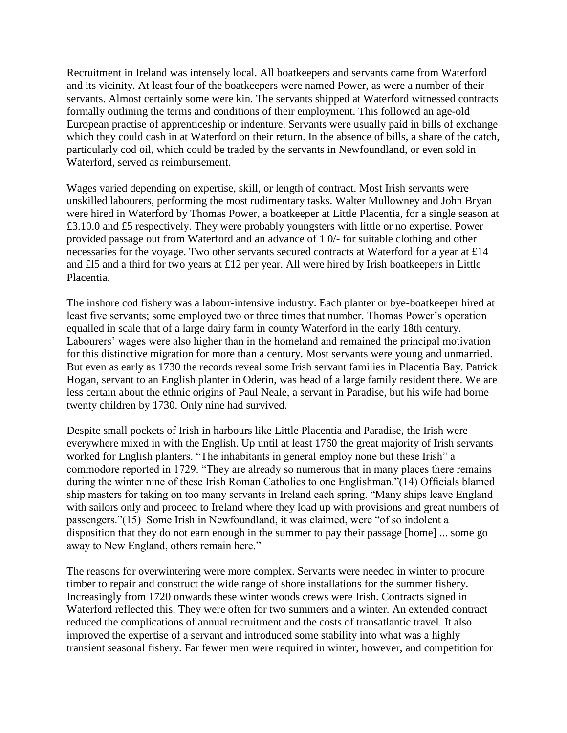Recruitment in Ireland was intensely local. All boatkeepers and servants came from Waterford and its vicinity. At least four of the boatkeepers were named Power, as were a number of their servants. Almost certainly some were kin. The servants shipped at Waterford witnessed contracts formally outlining the terms and conditions of their employment. This followed an age-old European practise of apprenticeship or indenture. Servants were usually paid in bills of exchange which they could cash in at Waterford on their return. In the absence of bills, a share of the catch, particularly cod oil, which could be traded by the servants in Newfoundland, or even sold in Waterford, served as reimbursement.

Wages varied depending on expertise, skill, or length of contract. Most Irish servants were unskilled labourers, performing the most rudimentary tasks. Walter Mullowney and John Bryan were hired in Waterford by Thomas Power, a boatkeeper at Little Placentia, for a single season at £3.10.0 and £5 respectively. They were probably youngsters with little or no expertise. Power provided passage out from Waterford and an advance of 1 0/- for suitable clothing and other necessaries for the voyage. Two other servants secured contracts at Waterford for a year at £14 and £l5 and a third for two years at £12 per year. All were hired by Irish boatkeepers in Little Placentia.

The inshore cod fishery was a labour-intensive industry. Each planter or bye-boatkeeper hired at least five servants; some employed two or three times that number. Thomas Power's operation equalled in scale that of a large dairy farm in county Waterford in the early 18th century. Labourers' wages were also higher than in the homeland and remained the principal motivation for this distinctive migration for more than a century. Most servants were young and unmarried. But even as early as 1730 the records reveal some Irish servant families in Placentia Bay. Patrick Hogan, servant to an English planter in Oderin, was head of a large family resident there. We are less certain about the ethnic origins of Paul Neale, a servant in Paradise, but his wife had borne twenty children by 1730. Only nine had survived.

Despite small pockets of Irish in harbours like Little Placentia and Paradise, the Irish were everywhere mixed in with the English. Up until at least 1760 the great majority of Irish servants worked for English planters. "The inhabitants in general employ none but these Irish" a commodore reported in 1729. "They are already so numerous that in many places there remains during the winter nine of these Irish Roman Catholics to one Englishman."(14) Officials blamed ship masters for taking on too many servants in Ireland each spring. "Many ships leave England with sailors only and proceed to Ireland where they load up with provisions and great numbers of passengers."(15) Some Irish in Newfoundland, it was claimed, were "of so indolent a disposition that they do not earn enough in the summer to pay their passage [home] ... some go away to New England, others remain here."

The reasons for overwintering were more complex. Servants were needed in winter to procure timber to repair and construct the wide range of shore installations for the summer fishery. Increasingly from 1720 onwards these winter woods crews were Irish. Contracts signed in Waterford reflected this. They were often for two summers and a winter. An extended contract reduced the complications of annual recruitment and the costs of transatlantic travel. It also improved the expertise of a servant and introduced some stability into what was a highly transient seasonal fishery. Far fewer men were required in winter, however, and competition for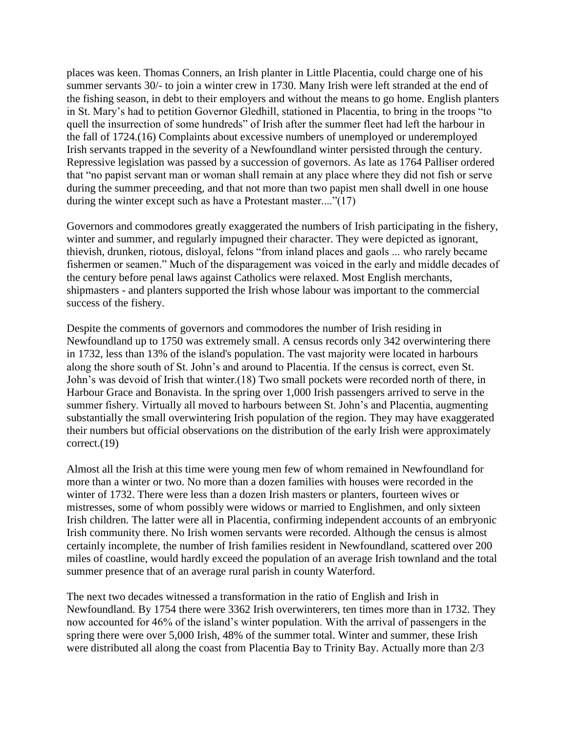places was keen. Thomas Conners, an Irish planter in Little Placentia, could charge one of his summer servants 30/- to join a winter crew in 1730. Many Irish were left stranded at the end of the fishing season, in debt to their employers and without the means to go home. English planters in St. Mary's had to petition Governor Gledhill, stationed in Placentia, to bring in the troops "to quell the insurrection of some hundreds" of Irish after the summer fleet had left the harbour in the fall of 1724.(16) Complaints about excessive numbers of unemployed or underemployed Irish servants trapped in the severity of a Newfoundland winter persisted through the century. Repressive legislation was passed by a succession of governors. As late as 1764 Palliser ordered that "no papist servant man or woman shall remain at any place where they did not fish or serve during the summer preceeding, and that not more than two papist men shall dwell in one house during the winter except such as have a Protestant master...."(17)

Governors and commodores greatly exaggerated the numbers of Irish participating in the fishery, winter and summer, and regularly impugned their character. They were depicted as ignorant, thievish, drunken, riotous, disloyal, felons "from inland places and gaols ... who rarely became fishermen or seamen." Much of the disparagement was voiced in the early and middle decades of the century before penal laws against Catholics were relaxed. Most English merchants, shipmasters - and planters supported the Irish whose labour was important to the commercial success of the fishery.

Despite the comments of governors and commodores the number of Irish residing in Newfoundland up to 1750 was extremely small. A census records only 342 overwintering there in 1732, less than 13% of the island's population. The vast majority were located in harbours along the shore south of St. John's and around to Placentia. If the census is correct, even St. John's was devoid of Irish that winter.(18) Two small pockets were recorded north of there, in Harbour Grace and Bonavista. In the spring over 1,000 Irish passengers arrived to serve in the summer fishery. Virtually all moved to harbours between St. John's and Placentia, augmenting substantially the small overwintering Irish population of the region. They may have exaggerated their numbers but official observations on the distribution of the early Irish were approximately correct.(19)

Almost all the Irish at this time were young men few of whom remained in Newfoundland for more than a winter or two. No more than a dozen families with houses were recorded in the winter of 1732. There were less than a dozen Irish masters or planters, fourteen wives or mistresses, some of whom possibly were widows or married to Englishmen, and only sixteen Irish children. The latter were all in Placentia, confirming independent accounts of an embryonic Irish community there. No Irish women servants were recorded. Although the census is almost certainly incomplete, the number of Irish families resident in Newfoundland, scattered over 200 miles of coastline, would hardly exceed the population of an average Irish townland and the total summer presence that of an average rural parish in county Waterford.

The next two decades witnessed a transformation in the ratio of English and Irish in Newfoundland. By 1754 there were 3362 Irish overwinterers, ten times more than in 1732. They now accounted for 46% of the island's winter population. With the arrival of passengers in the spring there were over 5,000 Irish, 48% of the summer total. Winter and summer, these Irish were distributed all along the coast from Placentia Bay to Trinity Bay. Actually more than 2/3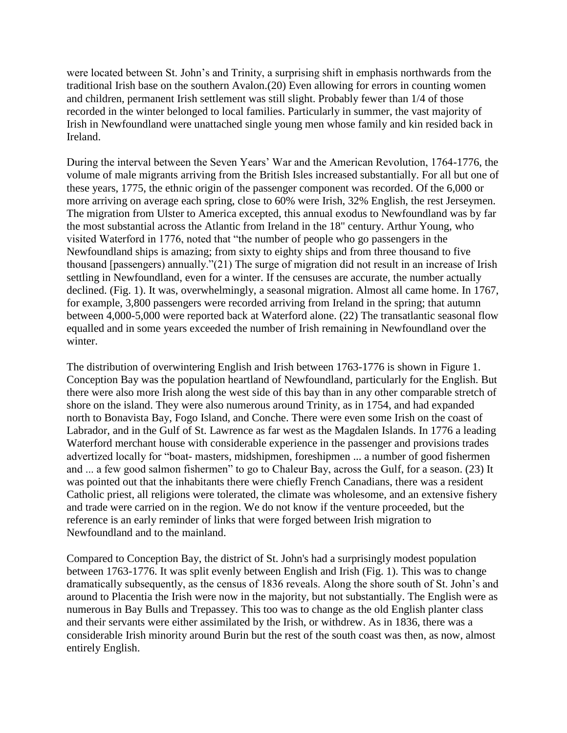were located between St. John's and Trinity, a surprising shift in emphasis northwards from the traditional Irish base on the southern Avalon.(20) Even allowing for errors in counting women and children, permanent Irish settlement was still slight. Probably fewer than 1/4 of those recorded in the winter belonged to local families. Particularly in summer, the vast majority of Irish in Newfoundland were unattached single young men whose family and kin resided back in Ireland.

During the interval between the Seven Years' War and the American Revolution, 1764-1776, the volume of male migrants arriving from the British Isles increased substantially. For all but one of these years, 1775, the ethnic origin of the passenger component was recorded. Of the 6,000 or more arriving on average each spring, close to 60% were Irish, 32% English, the rest Jerseymen. The migration from Ulster to America excepted, this annual exodus to Newfoundland was by far the most substantial across the Atlantic from Ireland in the 18" century. Arthur Young, who visited Waterford in 1776, noted that "the number of people who go passengers in the Newfoundland ships is amazing; from sixty to eighty ships and from three thousand to five thousand [passengers) annually."(21) The surge of migration did not result in an increase of Irish settling in Newfoundland, even for a winter. If the censuses are accurate, the number actually declined. (Fig. 1). It was, overwhelmingly, a seasonal migration. Almost all came home. In 1767, for example, 3,800 passengers were recorded arriving from Ireland in the spring; that autumn between 4,000-5,000 were reported back at Waterford alone. (22) The transatlantic seasonal flow equalled and in some years exceeded the number of Irish remaining in Newfoundland over the winter.

The distribution of overwintering English and Irish between 1763-1776 is shown in Figure 1. Conception Bay was the population heartland of Newfoundland, particularly for the English. But there were also more Irish along the west side of this bay than in any other comparable stretch of shore on the island. They were also numerous around Trinity, as in 1754, and had expanded north to Bonavista Bay, Fogo Island, and Conche. There were even some Irish on the coast of Labrador, and in the Gulf of St. Lawrence as far west as the Magdalen Islands. In 1776 a leading Waterford merchant house with considerable experience in the passenger and provisions trades advertized locally for "boat- masters, midshipmen, foreshipmen ... a number of good fishermen and ... a few good salmon fishermen" to go to Chaleur Bay, across the Gulf, for a season. (23) It was pointed out that the inhabitants there were chiefly French Canadians, there was a resident Catholic priest, all religions were tolerated, the climate was wholesome, and an extensive fishery and trade were carried on in the region. We do not know if the venture proceeded, but the reference is an early reminder of links that were forged between Irish migration to Newfoundland and to the mainland.

Compared to Conception Bay, the district of St. John's had a surprisingly modest population between 1763-1776. It was split evenly between English and Irish (Fig. 1). This was to change dramatically subsequently, as the census of 1836 reveals. Along the shore south of St. John's and around to Placentia the Irish were now in the majority, but not substantially. The English were as numerous in Bay Bulls and Trepassey. This too was to change as the old English planter class and their servants were either assimilated by the Irish, or withdrew. As in 1836, there was a considerable Irish minority around Burin but the rest of the south coast was then, as now, almost entirely English.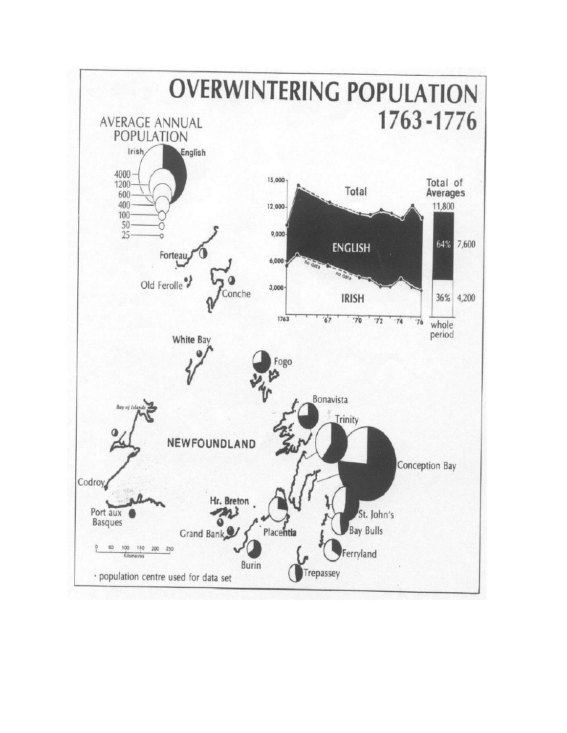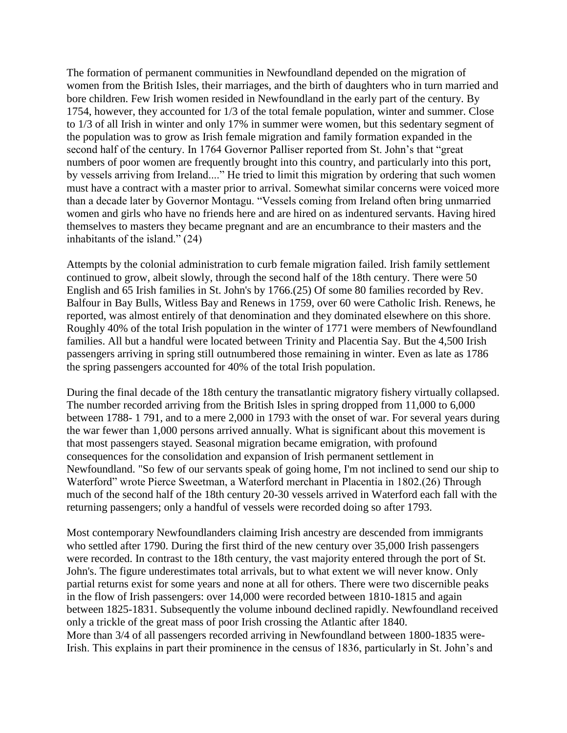The formation of permanent communities in Newfoundland depended on the migration of women from the British Isles, their marriages, and the birth of daughters who in turn married and bore children. Few Irish women resided in Newfoundland in the early part of the century. By 1754, however, they accounted for 1/3 of the total female population, winter and summer. Close to 1/3 of all Irish in winter and only 17% in summer were women, but this sedentary segment of the population was to grow as Irish female migration and family formation expanded in the second half of the century. In 1764 Governor Palliser reported from St. John's that "great numbers of poor women are frequently brought into this country, and particularly into this port, by vessels arriving from Ireland...." He tried to limit this migration by ordering that such women must have a contract with a master prior to arrival. Somewhat similar concerns were voiced more than a decade later by Governor Montagu. "Vessels coming from Ireland often bring unmarried women and girls who have no friends here and are hired on as indentured servants. Having hired themselves to masters they became pregnant and are an encumbrance to their masters and the inhabitants of the island." (24)

Attempts by the colonial administration to curb female migration failed. Irish family settlement continued to grow, albeit slowly, through the second half of the 18th century. There were 50 English and 65 Irish families in St. John's by 1766.(25) Of some 80 families recorded by Rev. Balfour in Bay Bulls, Witless Bay and Renews in 1759, over 60 were Catholic Irish. Renews, he reported, was almost entirely of that denomination and they dominated elsewhere on this shore. Roughly 40% of the total Irish population in the winter of 1771 were members of Newfoundland families. All but a handful were located between Trinity and Placentia Say. But the 4,500 Irish passengers arriving in spring still outnumbered those remaining in winter. Even as late as 1786 the spring passengers accounted for 40% of the total Irish population.

During the final decade of the 18th century the transatlantic migratory fishery virtually collapsed. The number recorded arriving from the British Isles in spring dropped from 11,000 to 6,000 between 1788- 1 791, and to a mere 2,000 in 1793 with the onset of war. For several years during the war fewer than 1,000 persons arrived annually. What is significant about this movement is that most passengers stayed. Seasonal migration became emigration, with profound consequences for the consolidation and expansion of Irish permanent settlement in Newfoundland. "So few of our servants speak of going home, I'm not inclined to send our ship to Waterford" wrote Pierce Sweetman, a Waterford merchant in Placentia in 1802.(26) Through much of the second half of the 18th century 20-30 vessels arrived in Waterford each fall with the returning passengers; only a handful of vessels were recorded doing so after 1793.

Most contemporary Newfoundlanders claiming Irish ancestry are descended from immigrants who settled after 1790. During the first third of the new century over 35,000 Irish passengers were recorded. In contrast to the 18th century, the vast majority entered through the port of St. John's. The figure underestimates total arrivals, but to what extent we will never know. Only partial returns exist for some years and none at all for others. There were two discernible peaks in the flow of Irish passengers: over 14,000 were recorded between 1810-1815 and again between 1825-1831. Subsequently the volume inbound declined rapidly. Newfoundland received only a trickle of the great mass of poor Irish crossing the Atlantic after 1840. More than 3/4 of all passengers recorded arriving in Newfoundland between 1800-1835 were-Irish. This explains in part their prominence in the census of 1836, particularly in St. John's and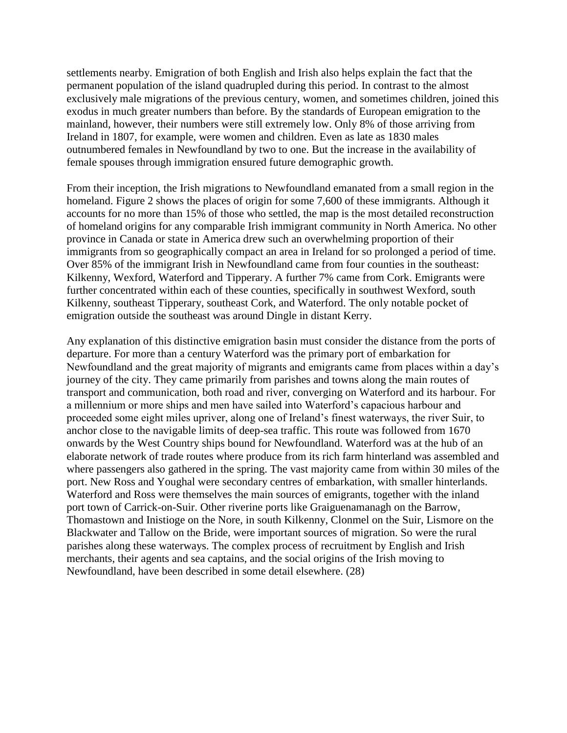settlements nearby. Emigration of both English and Irish also helps explain the fact that the permanent population of the island quadrupled during this period. In contrast to the almost exclusively male migrations of the previous century, women, and sometimes children, joined this exodus in much greater numbers than before. By the standards of European emigration to the mainland, however, their numbers were still extremely low. Only 8% of those arriving from Ireland in 1807, for example, were women and children. Even as late as 1830 males outnumbered females in Newfoundland by two to one. But the increase in the availability of female spouses through immigration ensured future demographic growth.

From their inception, the Irish migrations to Newfoundland emanated from a small region in the homeland. Figure 2 shows the places of origin for some 7,600 of these immigrants. Although it accounts for no more than 15% of those who settled, the map is the most detailed reconstruction of homeland origins for any comparable Irish immigrant community in North America. No other province in Canada or state in America drew such an overwhelming proportion of their immigrants from so geographically compact an area in Ireland for so prolonged a period of time. Over 85% of the immigrant Irish in Newfoundland came from four counties in the southeast: Kilkenny, Wexford, Waterford and Tipperary. A further 7% came from Cork. Emigrants were further concentrated within each of these counties, specifically in southwest Wexford, south Kilkenny, southeast Tipperary, southeast Cork, and Waterford. The only notable pocket of emigration outside the southeast was around Dingle in distant Kerry.

Any explanation of this distinctive emigration basin must consider the distance from the ports of departure. For more than a century Waterford was the primary port of embarkation for Newfoundland and the great majority of migrants and emigrants came from places within a day's journey of the city. They came primarily from parishes and towns along the main routes of transport and communication, both road and river, converging on Waterford and its harbour. For a millennium or more ships and men have sailed into Waterford's capacious harbour and proceeded some eight miles upriver, along one of Ireland's finest waterways, the river Suir, to anchor close to the navigable limits of deep-sea traffic. This route was followed from 1670 onwards by the West Country ships bound for Newfoundland. Waterford was at the hub of an elaborate network of trade routes where produce from its rich farm hinterland was assembled and where passengers also gathered in the spring. The vast majority came from within 30 miles of the port. New Ross and Youghal were secondary centres of embarkation, with smaller hinterlands. Waterford and Ross were themselves the main sources of emigrants, together with the inland port town of Carrick-on-Suir. Other riverine ports like Graiguenamanagh on the Barrow, Thomastown and Inistioge on the Nore, in south Kilkenny, Clonmel on the Suir, Lismore on the Blackwater and Tallow on the Bride, were important sources of migration. So were the rural parishes along these waterways. The complex process of recruitment by English and Irish merchants, their agents and sea captains, and the social origins of the Irish moving to Newfoundland, have been described in some detail elsewhere. (28)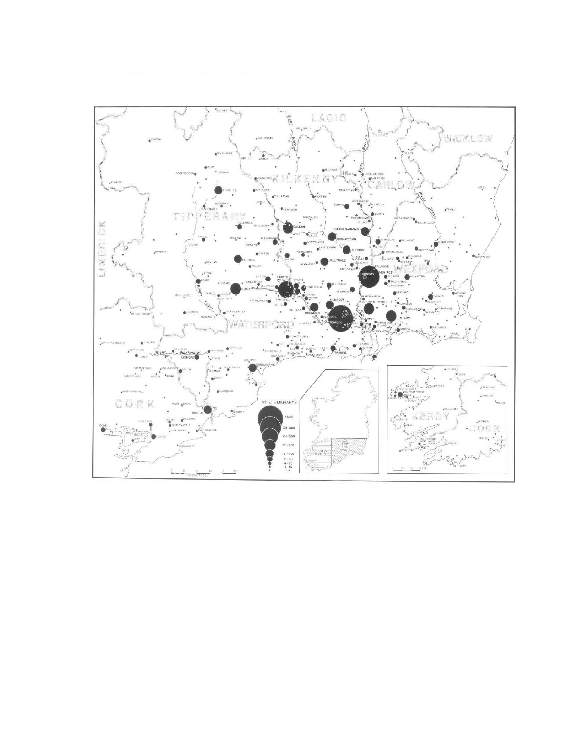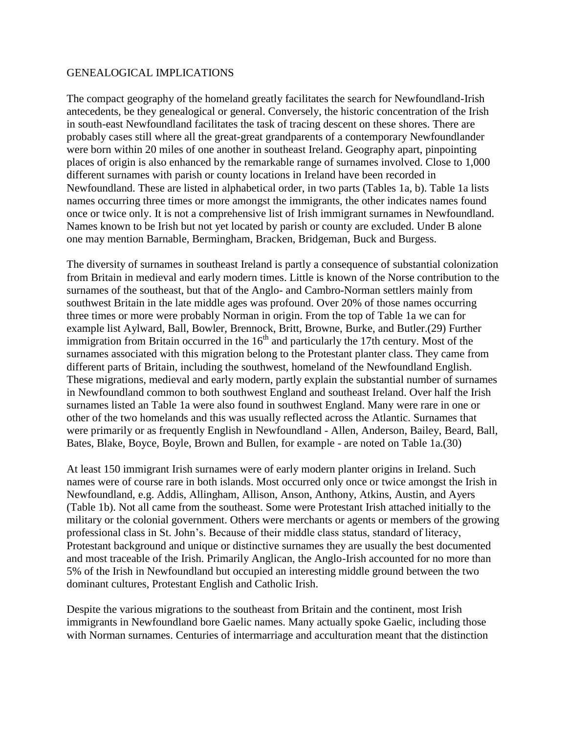## GENEALOGICAL IMPLICATIONS

The compact geography of the homeland greatly facilitates the search for Newfoundland-Irish antecedents, be they genealogical or general. Conversely, the historic concentration of the Irish in south-east Newfoundland facilitates the task of tracing descent on these shores. There are probably cases still where all the great-great grandparents of a contemporary Newfoundlander were born within 20 miles of one another in southeast Ireland. Geography apart, pinpointing places of origin is also enhanced by the remarkable range of surnames involved. Close to 1,000 different surnames with parish or county locations in Ireland have been recorded in Newfoundland. These are listed in alphabetical order, in two parts (Tables 1a, b). Table 1a lists names occurring three times or more amongst the immigrants, the other indicates names found once or twice only. It is not a comprehensive list of Irish immigrant surnames in Newfoundland. Names known to be Irish but not yet located by parish or county are excluded. Under B alone one may mention Barnable, Bermingham, Bracken, Bridgeman, Buck and Burgess.

The diversity of surnames in southeast Ireland is partly a consequence of substantial colonization from Britain in medieval and early modern times. Little is known of the Norse contribution to the surnames of the southeast, but that of the Anglo- and Cambro-Norman settlers mainly from southwest Britain in the late middle ages was profound. Over 20% of those names occurring three times or more were probably Norman in origin. From the top of Table 1a we can for example list Aylward, Ball, Bowler, Brennock, Britt, Browne, Burke, and Butler.(29) Further immigration from Britain occurred in the  $16<sup>th</sup>$  and particularly the 17th century. Most of the surnames associated with this migration belong to the Protestant planter class. They came from different parts of Britain, including the southwest, homeland of the Newfoundland English. These migrations, medieval and early modern, partly explain the substantial number of surnames in Newfoundland common to both southwest England and southeast Ireland. Over half the Irish surnames listed an Table 1a were also found in southwest England. Many were rare in one or other of the two homelands and this was usually reflected across the Atlantic. Surnames that were primarily or as frequently English in Newfoundland - Allen, Anderson, Bailey, Beard, Ball, Bates, Blake, Boyce, Boyle, Brown and Bullen, for example - are noted on Table 1a.(30)

At least 150 immigrant Irish surnames were of early modern planter origins in Ireland. Such names were of course rare in both islands. Most occurred only once or twice amongst the Irish in Newfoundland, e.g. Addis, Allingham, Allison, Anson, Anthony, Atkins, Austin, and Ayers (Table 1b). Not all came from the southeast. Some were Protestant Irish attached initially to the military or the colonial government. Others were merchants or agents or members of the growing professional class in St. John's. Because of their middle class status, standard of literacy, Protestant background and unique or distinctive surnames they are usually the best documented and most traceable of the Irish. Primarily Anglican, the Anglo-Irish accounted for no more than 5% of the Irish in Newfoundland but occupied an interesting middle ground between the two dominant cultures, Protestant English and Catholic Irish.

Despite the various migrations to the southeast from Britain and the continent, most Irish immigrants in Newfoundland bore Gaelic names. Many actually spoke Gaelic, including those with Norman surnames. Centuries of intermarriage and acculturation meant that the distinction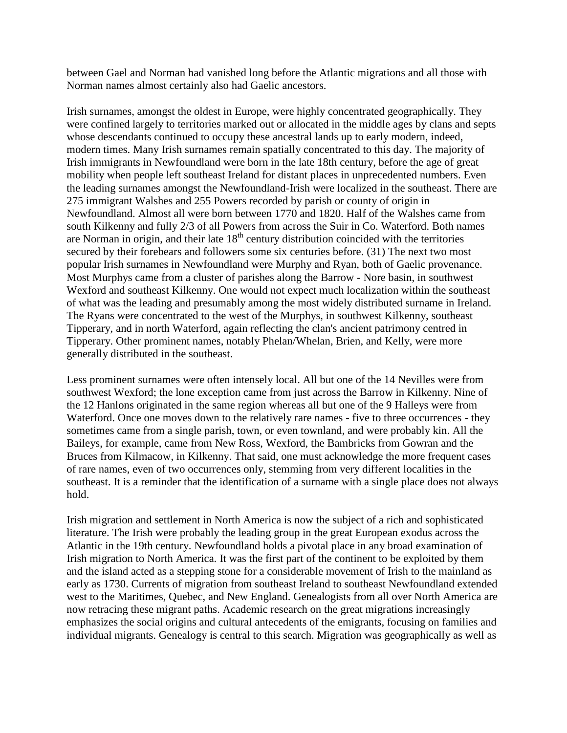between Gael and Norman had vanished long before the Atlantic migrations and all those with Norman names almost certainly also had Gaelic ancestors.

Irish surnames, amongst the oldest in Europe, were highly concentrated geographically. They were confined largely to territories marked out or allocated in the middle ages by clans and septs whose descendants continued to occupy these ancestral lands up to early modern, indeed, modern times. Many Irish surnames remain spatially concentrated to this day. The majority of Irish immigrants in Newfoundland were born in the late 18th century, before the age of great mobility when people left southeast Ireland for distant places in unprecedented numbers. Even the leading surnames amongst the Newfoundland-Irish were localized in the southeast. There are 275 immigrant Walshes and 255 Powers recorded by parish or county of origin in Newfoundland. Almost all were born between 1770 and 1820. Half of the Walshes came from south Kilkenny and fully 2/3 of all Powers from across the Suir in Co. Waterford. Both names are Norman in origin, and their late  $18<sup>th</sup>$  century distribution coincided with the territories secured by their forebears and followers some six centuries before. (31) The next two most popular Irish surnames in Newfoundland were Murphy and Ryan, both of Gaelic provenance. Most Murphys came from a cluster of parishes along the Barrow - Nore basin, in southwest Wexford and southeast Kilkenny. One would not expect much localization within the southeast of what was the leading and presumably among the most widely distributed surname in Ireland. The Ryans were concentrated to the west of the Murphys, in southwest Kilkenny, southeast Tipperary, and in north Waterford, again reflecting the clan's ancient patrimony centred in Tipperary. Other prominent names, notably Phelan/Whelan, Brien, and Kelly, were more generally distributed in the southeast.

Less prominent surnames were often intensely local. All but one of the 14 Nevilles were from southwest Wexford; the lone exception came from just across the Barrow in Kilkenny. Nine of the 12 Hanlons originated in the same region whereas all but one of the 9 Halleys were from Waterford. Once one moves down to the relatively rare names - five to three occurrences - they sometimes came from a single parish, town, or even townland, and were probably kin. All the Baileys, for example, came from New Ross, Wexford, the Bambricks from Gowran and the Bruces from Kilmacow, in Kilkenny. That said, one must acknowledge the more frequent cases of rare names, even of two occurrences only, stemming from very different localities in the southeast. It is a reminder that the identification of a surname with a single place does not always hold.

Irish migration and settlement in North America is now the subject of a rich and sophisticated literature. The Irish were probably the leading group in the great European exodus across the Atlantic in the 19th century. Newfoundland holds a pivotal place in any broad examination of Irish migration to North America. It was the first part of the continent to be exploited by them and the island acted as a stepping stone for a considerable movement of Irish to the mainland as early as 1730. Currents of migration from southeast Ireland to southeast Newfoundland extended west to the Maritimes, Quebec, and New England. Genealogists from all over North America are now retracing these migrant paths. Academic research on the great migrations increasingly emphasizes the social origins and cultural antecedents of the emigrants, focusing on families and individual migrants. Genealogy is central to this search. Migration was geographically as well as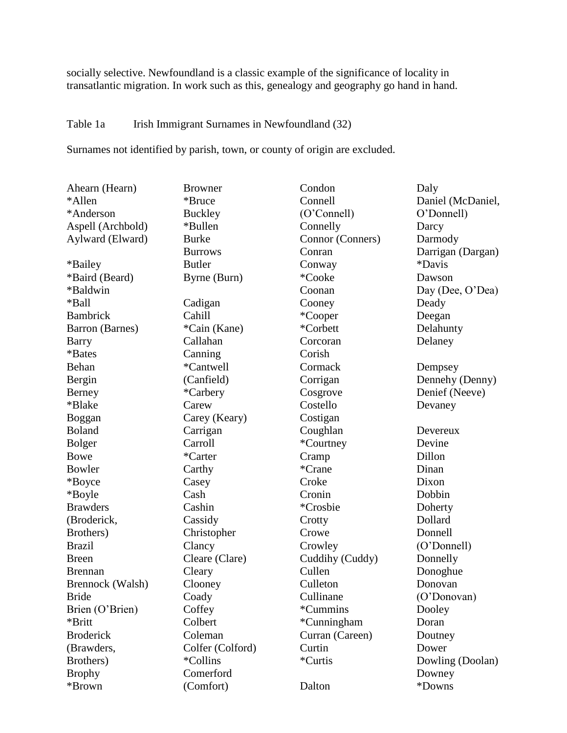socially selective. Newfoundland is a classic example of the significance of locality in transatlantic migration. In work such as this, genealogy and geography go hand in hand.

## Table 1a Irish Immigrant Surnames in Newfoundland (32)

Surnames not identified by parish, town, or county of origin are excluded.

| Ahearn (Hearn)    | <b>Browner</b>   | Condon           | Daly              |  |
|-------------------|------------------|------------------|-------------------|--|
| *Allen            | *Bruce           | Connell          | Daniel (McDaniel, |  |
| *Anderson         | <b>Buckley</b>   | (O'Connell)      | O'Donnell)        |  |
| Aspell (Archbold) | *Bullen          | Connelly         | Darcy             |  |
| Aylward (Elward)  | <b>Burke</b>     | Connor (Conners) | Darmody           |  |
|                   | <b>Burrows</b>   | Conran           | Darrigan (Dargan) |  |
| *Bailey           | <b>Butler</b>    | Conway           | *Davis            |  |
| *Baird (Beard)    | Byrne (Burn)     | *Cooke           | Dawson            |  |
| *Baldwin          |                  | Coonan           | Day (Dee, O'Dea)  |  |
| *Ball             | Cadigan          | Cooney           | Deady             |  |
| <b>Bambrick</b>   | Cahill           | *Cooper          | Deegan            |  |
| Barron (Barnes)   | *Cain (Kane)     | *Corbett         | Delahunty         |  |
| <b>Barry</b>      | Callahan         | Corcoran         | Delaney           |  |
| *Bates            | Canning          | Corish           |                   |  |
| Behan             | *Cantwell        | Cormack          | Dempsey           |  |
| Bergin            | (Canfield)       | Corrigan         | Dennehy (Denny)   |  |
| Berney            | *Carbery         | Cosgrove         | Denief (Neeve)    |  |
| *Blake            | Carew            | Costello         | Devaney           |  |
| Boggan            | Carey (Keary)    | Costigan         |                   |  |
| Boland            | Carrigan         | Coughlan         | Devereux          |  |
| Bolger            | Carroll          | *Courtney        | Devine            |  |
| <b>Bowe</b>       | *Carter          | Cramp            | Dillon            |  |
| Bowler            | Carthy           | *Crane           | Dinan             |  |
| *Boyce            | Casey            | Croke            | Dixon             |  |
| *Boyle            | Cash             | Cronin           | Dobbin            |  |
| <b>Brawders</b>   | Cashin           | *Crosbie         | Doherty           |  |
| (Broderick,       | Cassidy          | Crotty           | Dollard           |  |
| Brothers)         | Christopher      | Crowe            | Donnell           |  |
| <b>Brazil</b>     | Clancy           | Crowley          | (O'Donnell)       |  |
| <b>Breen</b>      | Cleare (Clare)   | Cuddihy (Cuddy)  | Donnelly          |  |
| <b>Brennan</b>    | Cleary           | Cullen           | Donoghue          |  |
| Brennock (Walsh)  | Clooney          | Culleton         | Donovan           |  |
| <b>Bride</b>      | Coady            | Cullinane        | (O'Donovan)       |  |
| Brien (O'Brien)   | Coffey           | *Cummins         | Dooley            |  |
| *Britt            | Colbert          | *Cunningham      | Doran             |  |
| <b>Broderick</b>  | Coleman          | Curran (Careen)  | Doutney           |  |
| (Brawders,        | Colfer (Colford) | Curtin           | Dower             |  |
| Brothers)         | *Collins         | <i>*Curtis</i>   | Dowling (Doolan)  |  |
| <b>Brophy</b>     | Comerford        |                  | Downey            |  |
| *Brown            | (Comfort)        | Dalton           | *Downs            |  |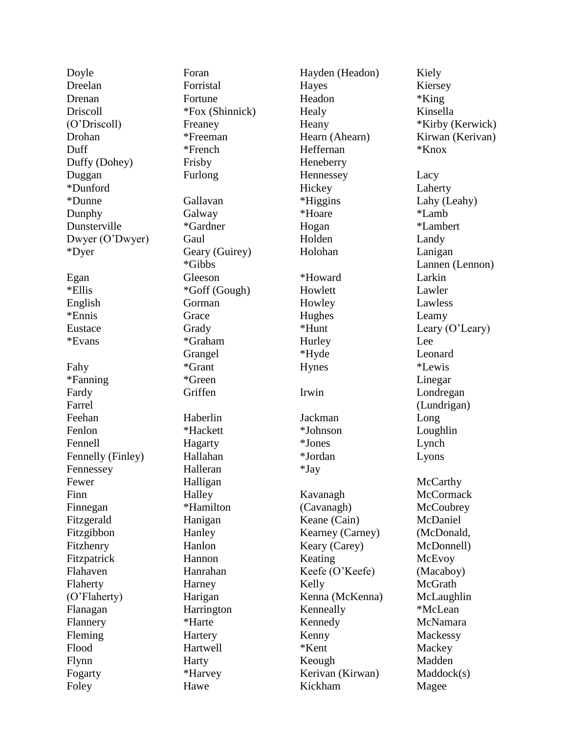| Dreelan           | Forristal       | Hayes            | Kiersey          |
|-------------------|-----------------|------------------|------------------|
| Drenan            | Fortune         | Headon           | *King            |
| Driscoll          | *Fox (Shinnick) | Healy            | Kinsella         |
| (O'Driscoll)      | Freaney         | Heany            | *Kirby (Kerwick) |
| Drohan            | *Freeman        | Hearn (Ahearn)   | Kirwan (Kerivan) |
| Duff              | *French         | Heffernan        | $*$ Knox         |
| Duffy (Dohey)     | Frisby          | Heneberry        |                  |
| Duggan            | Furlong         | Hennessey        | Lacy             |
| *Dunford          |                 | Hickey           | Laherty          |
| *Dunne            | Gallavan        | *Higgins         | Lahy (Leahy)     |
| Dunphy            | Galway          | *Hoare           | *Lamb            |
| Dunsterville      | *Gardner        | Hogan            | *Lambert         |
| Dwyer (O'Dwyer)   | Gaul            | Holden           | Landy            |
| *Dyer             | Geary (Guirey)  | Holohan          | Lanigan          |
|                   | *Gibbs          |                  | Lannen (Lennon)  |
| Egan              | Gleeson         | *Howard          | Larkin           |
| *Ellis            | *Goff (Gough)   | Howlett          | Lawler           |
| English           | Gorman          | Howley           | Lawless          |
| *Ennis            | Grace           | Hughes           | Leamy            |
| Eustace           | Grady           | *Hunt            | Leary (O'Leary)  |
| *Evans            | *Graham         | Hurley           | Lee              |
|                   | Grangel         | *Hyde            | Leonard          |
| Fahy              | *Grant          | Hynes            | <i>*Lewis</i>    |
| *Fanning          | *Green          |                  | Linegar          |
| Fardy             | Griffen         | Irwin            | Londregan        |
| Farrel            |                 |                  | (Lundrigan)      |
| Feehan            | Haberlin        | Jackman          | Long             |
| Fenlon            | *Hackett        | *Johnson         | Loughlin         |
| Fennell           | Hagarty         | *Jones           | Lynch            |
| Fennelly (Finley) | Hallahan        | *Jordan          | Lyons            |
| Fennessey         | Halleran        | $*$ Jay          |                  |
| Fewer             | Halligan        |                  | McCarthy         |
| Finn              | Halley          | Kavanagh         | McCormack        |
| Finnegan          | *Hamilton       | (Cavanagh)       | McCoubrey        |
| Fitzgerald        | Hanigan         | Keane (Cain)     | McDaniel         |
| Fitzgibbon        | Hanley          | Kearney (Carney) | (McDonald,       |
| Fitzhenry         | Hanlon          | Keary (Carey)    | McDonnell)       |
| Fitzpatrick       | Hannon          | Keating          | McEvoy           |
| Flahaven          | Hanrahan        | Keefe (O'Keefe)  | (Macaboy)        |
| Flaherty          | Harney          | Kelly            | McGrath          |
| (O'Flaherty)      | Harigan         | Kenna (McKenna)  | McLaughlin       |
| Flanagan          | Harrington      | Kenneally        | *McLean          |
| Flannery          | *Harte          | Kennedy          | McNamara         |
| Fleming           | Hartery         | Kenny            | Mackessy         |
| Flood             | Hartwell        | *Kent            | Mackey           |
| Flynn             | Harty           | Keough           | Madden           |
| Fogarty           | *Harvey         | Kerivan (Kirwan) | Maddock(s)       |
| Foley             | Hawe            | Kickham          | Magee            |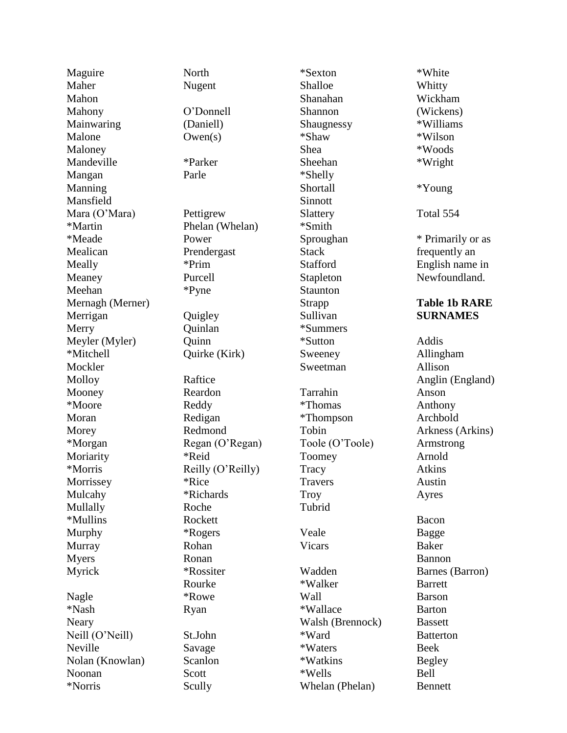Maguire Maher Mahon Mahony Mainwaring Malone Maloney Mandeville Mangan Manning Mansfield Mara (O'Mara) \*Martin \*Meade Mealican Meally Meaney Meeha n Mernagh (Merner) Merrigan Merry Meyler (Myler) \*Mitchell Mockler Molloy Mooney \*Moore Moran Morey \*Morgan **Moriarity** \*Morris **Morrissey** Mulcahy Mullally \*Mullins Murphy Murray Myers Myrick Nagle \*Nash **Neary** Neill (O'Neill) Neville Nolan (Knowlan) Noonan \*Norris

**North** Nugent O'Donnell (Daniell) Owen(s) \*Parker Parle Pettigrew Phelan (Whelan) Power Prendergast \*Prim Purcell \*Pyne **Quigley** Quinlan **Quinn** Quirke (Kirk) Raftice Reardon Reddy Redigan Redmond Regan (O'Regan) \*Reid Reilly (O'Reilly) \*Rice \*Richards Roche Rockett \*Rogers Rohan Ronan \*Rossiter Rourke \*Rowe Ryan St.John Savage Scanlon **Scott** Scully

\*Sexton Shalloe Shanahan Shannon Shaugnessy \*Shaw Shea Sheehan \*Shelly Shortall Sinnott **Slattery** \*Smith Sproughan Stack **Stafford** Stapleton Staunton Strapp Sullivan \*Summers \*Sutton Sweeney Sweetman Tarrahin \*Thomas \*Thompson Tobin Toole (O'Toole) Toomey **Tracy** Travers Troy Tubrid Veale **Vicars** Wadden \*Walker Wall \*Wallace Walsh (Brennock) \*Ward \*Waters \*Watkins \*Wells Whelan (Phelan)

\*White **Whitty** Wickham (Wickens) \*Williams \*Wilson \*Woods \*Wright \*Young Total 554 \* Primarily or as frequently an English name in Newfoundland. **Table 1b RARE SURNAMES** Addis Allingham Allison Anglin (England) Anson Anthony Archbol d Arkness (Arkins) Armstrong Arnold Atkins Austin Ayres Bacon Bagge Baker Bannon Barnes (Barron) Barrett Barson Barton Bassett Batterton Beek Begley Bell Bennett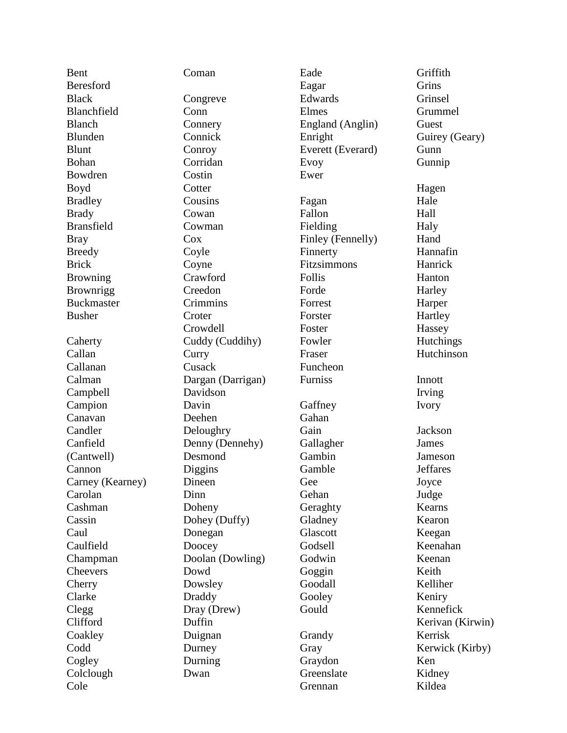| Bent              | Coman             | Eade              | Griffith         |  |
|-------------------|-------------------|-------------------|------------------|--|
| Beresford         |                   | Eagar             | Grins            |  |
| <b>Black</b>      | Congreve          | Edwards           | Grinsel          |  |
| Blanchfield       | Conn              | Elmes             | Grummel          |  |
| Blanch            | Connery           | England (Anglin)  | Guest            |  |
| Blunden           | Connick           | Enright           | Guirey (Geary)   |  |
| <b>Blunt</b>      | Conroy            | Everett (Everard) | Gunn             |  |
| Bohan             | Corridan          | Evoy              | Gunnip           |  |
| Bowdren           | Costin            | Ewer              |                  |  |
| Boyd              | Cotter            |                   | Hagen            |  |
| <b>Bradley</b>    | Cousins           | Fagan             | Hale             |  |
| <b>Brady</b>      | Cowan             | Fallon            | Hall             |  |
| <b>Bransfield</b> | Cowman            | Fielding          | Haly             |  |
| <b>Bray</b>       | Cox               | Finley (Fennelly) | Hand             |  |
| <b>Breedy</b>     | Coyle             | Finnerty          | Hannafin         |  |
| <b>Brick</b>      | Coyne             | Fitzsimmons       | Hanrick          |  |
| <b>Browning</b>   | Crawford          | Follis            | Hanton           |  |
| <b>Brownrigg</b>  | Creedon           | Forde             | Harley           |  |
| <b>Buckmaster</b> | Crimmins          | Forrest           | Harper           |  |
| <b>Busher</b>     | Croter            | Forster           | Hartley          |  |
|                   | Crowdell          | Foster            | Hassey           |  |
| Caherty           | Cuddy (Cuddihy)   | Fowler            | Hutchings        |  |
| Callan            | Curry             | Fraser            | Hutchinson       |  |
| Callanan          | Cusack            | Funcheon          |                  |  |
| Calman            | Dargan (Darrigan) | Furniss           | Innott           |  |
| Campbell          | Davidson          |                   | Irving           |  |
| Campion           | Davin             | Gaffney           | <b>Ivory</b>     |  |
| Canavan           | Deehen            | Gahan             |                  |  |
| Candler           | Deloughry         | Gain              | Jackson          |  |
| Canfield          | Denny (Dennehy)   | Gallagher         | James            |  |
| (Cantwell)        | Desmond           | Gambin            | Jameson          |  |
| Cannon            | Diggins           | Gamble            | <b>Jeffares</b>  |  |
| Carney (Kearney)  | Dineen            | Gee               | Joyce            |  |
| Carolan           | Dinn              | Gehan             | Judge            |  |
| Cashman           | Doheny            | Geraghty          | Kearns           |  |
| Cassin            | Dohey (Duffy)     | Gladney           | Kearon           |  |
| Caul              | Donegan           | Glascott          | Keegan           |  |
| Caulfield         | Doocey            | Godsell           | Keenahan         |  |
| Champman          | Doolan (Dowling)  | Godwin            | Keenan           |  |
| Cheevers          | Dowd              | Goggin            | Keith            |  |
| Cherry            | Dowsley           | Goodall           | Kelliher         |  |
| Clarke            | Draddy            | Gooley            | Keniry           |  |
| Clegg             | Dray (Drew)       | Gould             | Kennefick        |  |
| Clifford          | Duffin            |                   | Kerivan (Kirwin) |  |
| Coakley           | Duignan           | Grandy            | Kerrisk          |  |
| Codd              | Durney            | Gray              | Kerwick (Kirby)  |  |
| Cogley            | Durning           | Graydon           | Ken              |  |
| Colclough         | Dwan              | Greenslate        | Kidney           |  |
| Cole              |                   | Grennan           | Kildea           |  |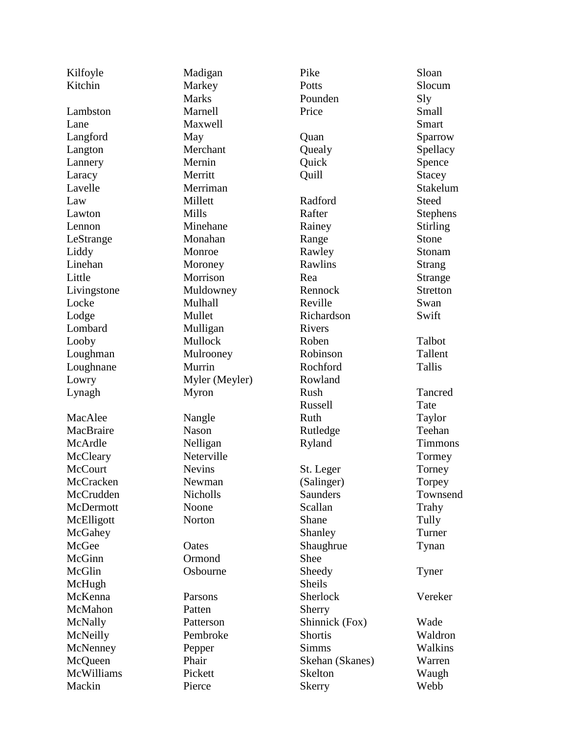| Kilfoyle          | Madigan        | Pike            | Sloan           |
|-------------------|----------------|-----------------|-----------------|
| Kitchin           | Markey         | Potts           | Slocum          |
|                   | <b>Marks</b>   | Pounden         | Sly             |
| Lambston          | Marnell        | Price           | Small           |
| Lane              | Maxwell        |                 | Smart           |
| Langford          | May            | Quan            | Sparrow         |
| Langton           | Merchant       | Quealy          | Spellacy        |
| Lannery           | Mernin         | Quick           | Spence          |
| Laracy            | Merritt        | Quill           | <b>Stacey</b>   |
| Lavelle           | Merriman       |                 | Stakelum        |
| Law               | Millett        | Radford         | <b>Steed</b>    |
| Lawton            | Mills          | Rafter          | <b>Stephens</b> |
| Lennon            | Minehane       | Rainey          | <b>Stirling</b> |
| LeStrange         | Monahan        | Range           | Stone           |
| Liddy             | Monroe         | Rawley          | Stonam          |
| Linehan           | Moroney        | Rawlins         | <b>Strang</b>   |
| Little            | Morrison       | Rea             | Strange         |
| Livingstone       | Muldowney      | Rennock         | <b>Stretton</b> |
| Locke             | Mulhall        | Reville         | Swan            |
| Lodge             | Mullet         | Richardson      | Swift           |
| Lombard           | Mulligan       | <b>Rivers</b>   |                 |
| Looby             | Mullock        | Roben           | Talbot          |
| Loughman          | Mulrooney      | Robinson        | Tallent         |
| Loughnane         | Murrin         | Rochford        | Tallis          |
| Lowry             | Myler (Meyler) | Rowland         |                 |
| Lynagh            | Myron          | Rush            | Tancred         |
|                   |                | Russell         | Tate            |
| MacAlee           | Nangle         | Ruth            | Taylor          |
| MacBraire         | <b>Nason</b>   | Rutledge        | Teehan          |
| McArdle           | Nelligan       | Ryland          | Timmons         |
| McCleary          | Neterville     |                 | Tormey          |
| <b>McCourt</b>    | <b>Nevins</b>  | St. Leger       | Torney          |
| McCracken         | Newman         | (Salinger)      | Torpey          |
| McCrudden         | Nicholls       | Saunders        | Townsend        |
| McDermott         | Noone          | Scallan         | Trahy           |
| McElligott        | Norton         | Shane           | Tully           |
| McGahey           |                | Shanley         | Turner          |
| McGee             | Oates          | Shaughrue       | Tynan           |
| McGinn            | Ormond         | Shee            |                 |
| McGlin            | Osbourne       | Sheedy          | Tyner           |
| McHugh            |                | <b>Sheils</b>   |                 |
| McKenna           | Parsons        | Sherlock        | Vereker         |
| McMahon           | Patten         | Sherry          |                 |
| McNally           | Patterson      | Shinnick (Fox)  | Wade            |
| McNeilly          | Pembroke       | <b>Shortis</b>  | Waldron         |
| McNenney          | Pepper         | <b>Simms</b>    | Walkins         |
| McQueen           | Phair          | Skehan (Skanes) | Warren          |
| <b>McWilliams</b> | Pickett        | Skelton         | Waugh           |
| Mackin            | Pierce         | <b>Skerry</b>   | Webb            |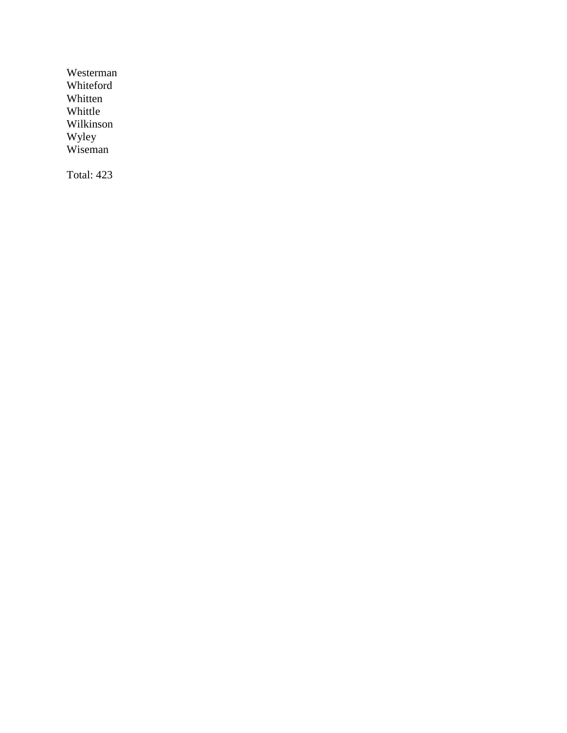Westerman Whiteford Whitten Whittle Wilkinson Wyley Wiseman

Total: 423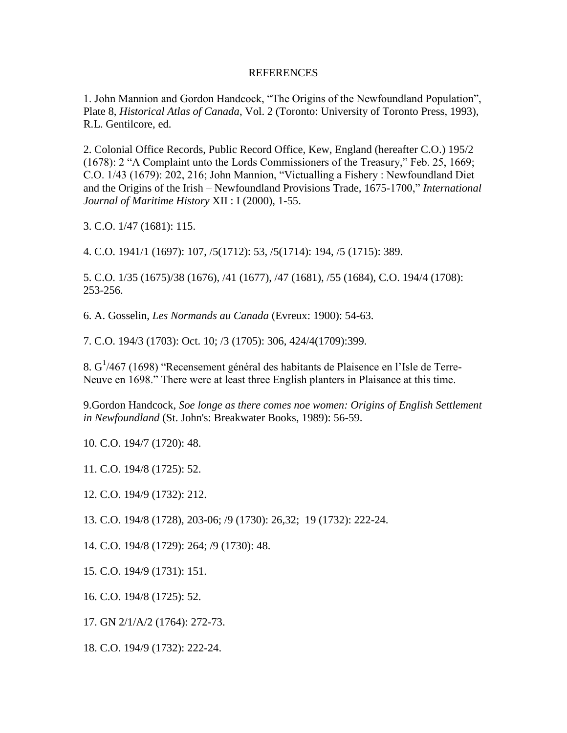## REFERENCES

1. John Mannion and Gordon Handcock, "The Origins of the Newfoundland Population", Plate 8, *Historical Atlas of Canada*, Vol. 2 (Toronto: University of Toronto Press, 1993), R.L. Gentilcore, ed.

2. Colonial Office Records, Public Record Office, Kew, England (hereafter C.O.) 195/2 (1678): 2 "A Complaint unto the Lords Commissioners of the Treasury," Feb. 25, 1669; C.O. 1/43 (1679): 202, 216; John Mannion, "Victualling a Fishery : Newfoundland Diet and the Origins of the Irish – Newfoundland Provisions Trade, 1675-1700," *International Journal of Maritime History* XII : I (2000), 1-55.

3. C.O. 1/47 (1681): 115.

4. C.O. 1941/1 (1697): 107, /5(1712): 53, /5(1714): 194, /5 (1715): 389.

5. C.O. 1/35 (1675)/38 (1676), /41 (1677), /47 (1681), /55 (1684), C.O. 194/4 (1708): 253-256.

6. A. Gosselin, *Les Normands au Canada* (Evreux: 1900): 54-63.

7. C.O. 194/3 (1703): Oct. 10; /3 (1705): 306, 424/4(1709):399.

8. G<sup>1</sup>/467 (1698) "Recensement général des habitants de Plaisence en l'Isle de Terre-Neuve en 1698." There were at least three English planters in Plaisance at this time.

9.Gordon Handcock, *Soe longe as there comes noe women: Origins of English Settlement in Newfoundland* (St. John's: Breakwater Books, 1989): 56-59.

- 10. C.O. 194/7 (1720): 48.
- 11. C.O. 194/8 (1725): 52.
- 12. C.O. 194/9 (1732): 212.

13. C.O. 194/8 (1728), 203-06; /9 (1730): 26,32; 19 (1732): 222-24.

- 14. C.O. 194/8 (1729): 264; /9 (1730): 48.
- 15. C.O. 194/9 (1731): 151.
- 16. C.O. 194/8 (1725): 52.
- 17. GN 2/1/A/2 (1764): 272-73.
- 18. C.O. 194/9 (1732): 222-24.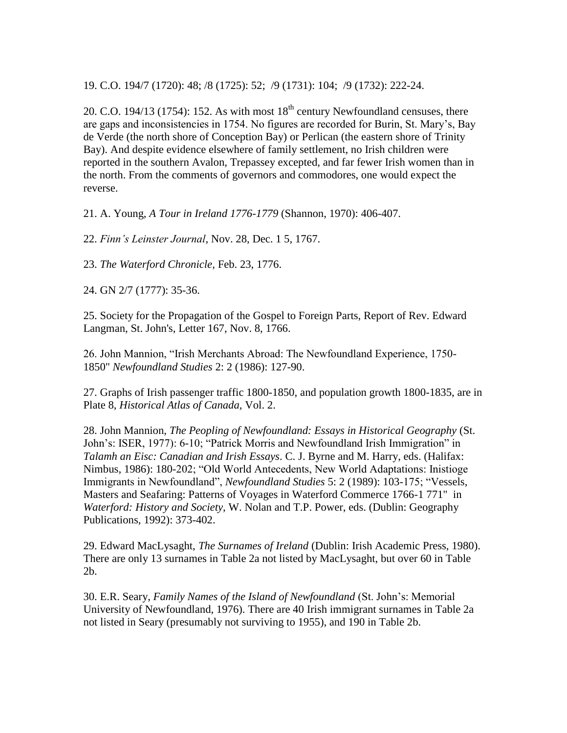19. C.O. 194/7 (1720): 48; /8 (1725): 52; /9 (1731): 104; /9 (1732): 222-24.

20. C.O. 194/13 (1754): 152. As with most  $18<sup>th</sup>$  century Newfoundland censuses, there are gaps and inconsistencies in 1754. No figures are recorded for Burin, St. Mary's, Bay de Verde (the north shore of Conception Bay) or Perlican (the eastern shore of Trinity Bay). And despite evidence elsewhere of family settlement, no Irish children were reported in the southern Avalon, Trepassey excepted, and far fewer Irish women than in the north. From the comments of governors and commodores, one would expect the reverse.

21. A. Young, *A Tour in Ireland 1776-1779* (Shannon, 1970): 406-407.

22. *Finn's Leinster Journal*, Nov. 28, Dec. 1 5, 1767.

23. *The Waterford Chronicle*, Feb. 23, 1776.

24. GN 2/7 (1777): 35-36.

25. Society for the Propagation of the Gospel to Foreign Parts, Report of Rev. Edward Langman, St. John's, Letter 167, Nov. 8, 1766.

26. John Mannion, "Irish Merchants Abroad: The Newfoundland Experience, 1750- 1850" *Newfoundland Studies* 2: 2 (1986): 127-90.

27. Graphs of Irish passenger traffic 1800-1850, and population growth 1800-1835, are in Plate 8, *Historical Atlas of Canada,* Vol. 2.

28. John Mannion, *The Peopling of Newfoundland: Essays in Historical Geography* (St. John's: ISER, 1977): 6-10; "Patrick Morris and Newfoundland Irish Immigration" in *Talamh an Eisc: Canadian and Irish Essays*. C. J. Byrne and M. Harry, eds. (Halifax: Nimbus, 1986): 180-202; "Old World Antecedents, New World Adaptations: Inistioge Immigrants in Newfoundland", *Newfoundland Studies* 5: 2 (1989): 103-175; "Vessels, Masters and Seafaring: Patterns of Voyages in Waterford Commerce 1766-1 771" in *Waterford: History and Society*, W. Nolan and T.P. Power, eds. (Dublin: Geography Publications, 1992): 373-402.

29. Edward MacLysaght, *The Surnames of Ireland* (Dublin: Irish Academic Press, 1980). There are only 13 surnames in Table 2a not listed by MacLysaght, but over 60 in Table 2b.

30. E.R. Seary, *Family Names of the Island of Newfoundland* (St. John's: Memorial University of Newfoundland, 1976). There are 40 Irish immigrant surnames in Table 2a not listed in Seary (presumably not surviving to 1955), and 190 in Table 2b.